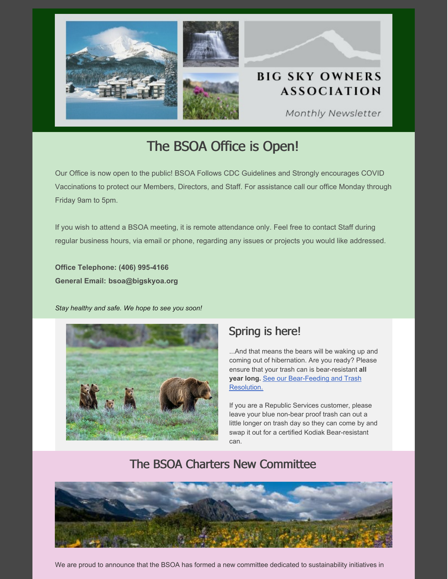

# The BSOA Office is Open!

Our Office is now open to the public! BSOA Follows CDC Guidelines and Strongly encourages COVID Vaccinations to protect our Members, Directors, and Staff. For assistance call our office Monday through Friday 9am to 5pm.

If you wish to attend a BSOA meeting, it is remote attendance only. Feel free to contact Staff during regular business hours, via email or phone, regarding any issues or projects you would like addressed.

**Office Telephone: (406) 995-4166 General Email: [bsoa@bigskyoa.org](mailto:bsoa@bigskyoa.org)**

*Stay healthy and safe. We hope to see you soon!*



## Spring is here!

...And that means the bears will be waking up and coming out of hibernation. Are you ready? Please ensure that your trash can is bear-resistant **all year long.** See our [Bear-Feeding](https://files.constantcontact.com/0ef36c0b401/38435211-8873-419a-9015-f52ca36a827f.pdf?rdr=true) and Trash Resolution.

If you are a Republic Services customer, please leave your blue non-bear proof trash can out a little longer on trash day so they can come by and swap it out for a certified Kodiak Bear-resistant can.

# The BSOA Charters New Committee



We are proud to announce that the BSOA has formed a new committee dedicated to sustainability initiatives in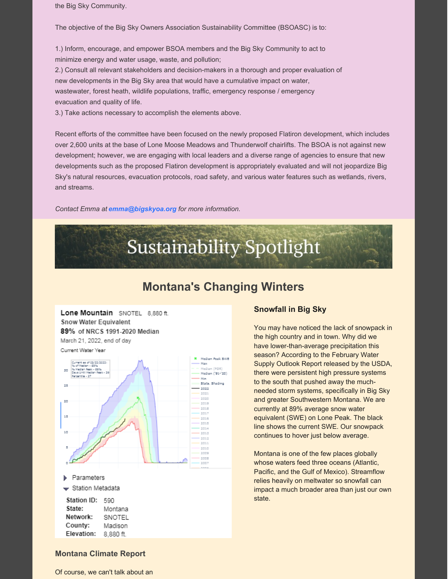the Big Sky Community.

The objective of the Big Sky Owners Association Sustainability Committee (BSOASC) is to:

1.) Inform, encourage, and empower BSOA members and the Big Sky Community to act to minimize energy and water usage, waste, and pollution;

2.) Consult all relevant stakeholders and decision-makers in a thorough and proper evaluation of new developments in the Big Sky area that would have a cumulative impact on water, wastewater, forest heath, wildlife populations, traffic, emergency response / emergency evacuation and quality of life.

3.) Take actions necessary to accomplish the elements above.

Recent efforts of the committee have been focused on the newly proposed Flatiron development, which includes over 2,600 units at the base of Lone Moose Meadows and Thunderwolf chairlifts. The BSOA is not against new development; however, we are engaging with local leaders and a diverse range of agencies to ensure that new developments such as the proposed Flatiron development is appropriately evaluated and will not jeopardize Big Sky's natural resources, evacuation protocols, road safety, and various water features such as wetlands, rivers, and streams.

*Contact Emma at [emma@bigskyoa.org](mailto:emma@bigskyoa.org) for more information.*



## **Montana's Changing Winters**

Lone Mountain SNOTEL 8.880 ft. Snow Water Equivalent 89% of NRCS 1991-2020 Median March 21, 2022, end of day Current Water Year



#### **Snowfall in Big Sky**

You may have noticed the lack of snowpack in the high country and in town. Why did we have lower-than-average precipitation this season? According to the February Water Supply Outlook Report released by the USDA, there were persistent high pressure systems to the south that pushed away the muchneeded storm systems, specifically in Big Sky and greater Southwestern Montana. We are currently at 89% average snow water equivalent (SWE) on Lone Peak. The black line shows the current SWE. Our snowpack continues to hover just below average.

Montana is one of the few places globally whose waters feed three oceans (Atlantic, Pacific, and the Gulf of Mexico). Streamflow relies heavily on meltwater so snowfall can impact a much broader area than just our own state.

#### **Montana Climate Report**

Of course, we can't talk about an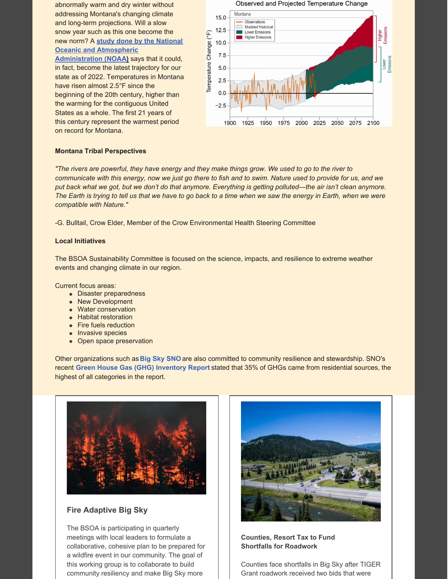abnormally warm and dry winter without addressing Montana's changing climate and long-term projections. Will a slow snow year such as this one become the new norm? A **study done by the National Oceanic and [Atmospheric](https://statesummaries.ncics.org/chapter/mt/)**

**Administration (NOAA[\)](https://statesummaries.ncics.org/chapter/mt/)** says that it could, in fact, become the latest trajectory for our state as of 2022. Temperatures in Montana have risen almost 2.5°F since the beginning of the 20th century, higher than the warming for the contiguous United States as a whole. The first 21 years of this century represent the warmest period on record for Montana.



#### **Montana Tribal Perspectives**

"The rivers are powerful, they have energy and they make things grow. We used to go to the river to communicate with this energy, now we just go there to fish and to swim. Nature used to provide for us, and we put back what we got, but we don't do that anymore. Everything is getting polluted—the air isn't clean anymore. The Earth is trying to tell us that we have to go back to a time when we saw the energy in Earth, when we were *compatible with Nature."*

-G. Bulltail, Crow Elder, Member of the Crow Environmental Health Steering Committee

#### **Local Initiatives**

The BSOA Sustainability Committee is focused on the science, impacts, and resilience to extreme weather events and changing climate in our region.

Current focus areas:

- Disaster preparedness
- New Development
- Water conservation
- Habitat restoration
- Fire fuels reduction
- Invasive species
- Open space preservation

Other organizations such as **Big Sky [SNO](https://www.bigskysno.org/)** are also committed to community resilience and stewardship. SNO's recent **Green House Gas (GHG) [Inventory](https://static1.squarespace.com/static/5fab042f4d06190a0128e012/t/6165e4f00593933ab48f51bc/1634067697296/2019+Big+Sky+GHG+Report.pdf) Repor[t](https://static1.squarespace.com/static/5fab042f4d06190a0128e012/t/6165e4f00593933ab48f51bc/1634067697296/2019+Big+Sky+GHG+Report.pdf)** stated that 35% of GHGs came from residential sources, the highest of all categories in the report.



#### **Fire Adaptive Big Sky**

The BSOA is participating in quarterly meetings with local leaders to formulate a collaborative, cohesive plan to be prepared for a wildfire event in our community. The goal of this working group is to collaborate to build community resiliency and make Big Sky more



**Counties, Resort Tax to Fund Shortfalls for Roadwork**

Counties face shortfalls in Big Sky after TIGER Grant roadwork received two bids that were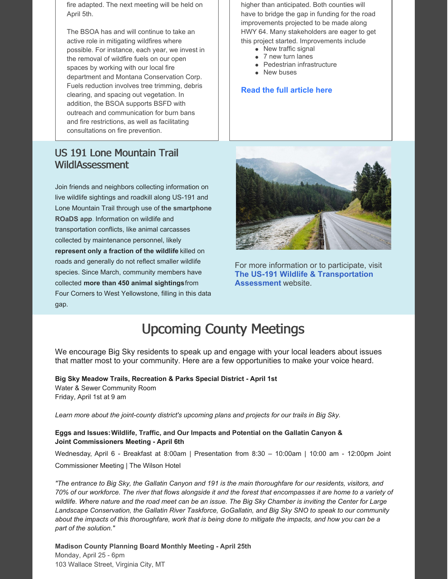fire adapted. The next meeting will be held on April 5th.

The BSOA has and will continue to take an active role in mitigating wildfires where possible. For instance, each year, we invest in the removal of wildfire fuels on our open spaces by working with our local fire department and Montana Conservation Corp. Fuels reduction involves tree trimming, debris clearing, and spacing out vegetation. In addition, the BSOA supports BSFD with outreach and communication for burn bans and fire restrictions, as well as facilitating consultations on fire prevention.

## US 191 Lone Mountain Trail WildlAssessment

Join friends and neighbors collecting information on live wildlife sightings and roadkill along US-191 and Lone Mountain Trail through use of **the [smartphone](https://r20.rs6.net/tn.jsp?f=001zBboJtUdmVWgivPdkU_MLps4i9kumMUBiCv8Ukj3vGCjojB_oBWckde2iDra6tQRdzs3rOm198D-xXATfNl5vtV2TlLz_w3Q9iep3brsCL3pYtQdVGqn4l1QvULO04pI6_4wqJal1uVzqew2ibSWZthe9fkT9W-qwKRHEF_cPa_3Y7u38zjuk9VQ2LygV7kvI-KaRpCzbwOH342tVA_uiMPlpAzpaLRu&c=rHWDnVuEhqTkp4pZ0420eRBjVS6QfHhUOrVY6p2hZvj__I4O9mu1sA==&ch=YgUVOUX54_nWx9RLI5Aql9Zjd-wvGUverny8FcMiRaQI3ar479C2WA==) ROaDS app**. Information on wildlife and transportation conflicts, like animal carcasses collected by maintenance personnel, likely **represent only a fraction of the wildlife** killed on roads and generally do not reflect smaller wildlife species. Since March, community members have collected **more than 450 animal sightings**from Four Corners to West Yellowstone, filling in this data gap.

higher than anticipated. Both counties will have to bridge the gap in funding for the road improvements projected to be made along HWY 64. Many stakeholders are eager to get this project started. Improvements include

- New traffic signal
- 7 new turn lanes
- Pedestrian infrastructure
- **New buses**

#### **Read the full [article](https://www.explorebigsky.com/funding-gap-forces-local-counties-resort-tax-district-to-help-fund-tiger-grant-work/43390) here**



For more information or to participate, visit **The US-191 Wildlife & [Transportation](https://hwy-191-wildlife-and-transportation-assessment-largelandscapes.hub.arcgis.com/) Assessment** website.

# Upcoming County Meetings

We encourage Big Sky residents to speak up and engage with your local leaders about issues that matter most to your community. Here are a few opportunities to make your voice heard.

**Big Sky Meadow Trails, Recreation & Parks Special District - April 1st** Water & Sewer Community Room Friday, April 1st at 9 am

*Learn more about the joint-county district's upcoming plans and projects for our trails in Big Sky.*

#### **Eggs and Issues:Wildlife, Traffic, and Our Impacts and Potential on the Gallatin Canyon & Joint Commissioners Meeting - April 6th**

Wednesday, April 6 - Breakfast at 8:00am | Presentation from 8:30 – 10:00am | 10:00 am - 12:00pm Joint Commissioner Meeting | The Wilson Hotel

"The entrance to Big Sky, the Gallatin Canyon and 191 is the main thoroughfare for our residents, visitors, and 70% of our workforce. The river that flows alongside it and the forest that encompasses it are home to a variety of wildlife. Where nature and the road meet can be an issue. The Big Sky Chamber is inviting the Center for Large *Landscape Conservation, the Gallatin River Taskforce, GoGallatin, and Big Sky SNO to speak to our community* about the impacts of this thoroughfare, work that is being done to mitigate the impacts, and how you can be a *part of the solution."*

**Madison County Planning Board Monthly Meeting - April 25th** Monday, April 25 - 6pm 103 Wallace Street, Virginia City, MT